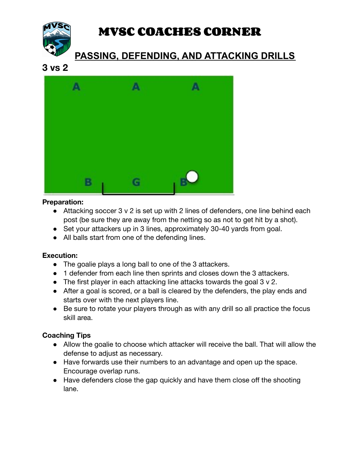

# **MVSC COACHES CORNER**

# **PASSING, DEFENDING, AND ATTACKING DRILLS**

## **3 vs 2**



#### **Preparation:**

- Attacking soccer 3 v 2 is set up with 2 lines of defenders, one line behind each post (be sure they are away from the netting so as not to get hit by a shot).
- Set your attackers up in 3 lines, approximately 30-40 yards from goal.
- All balls start from one of the defending lines.

### **Execution:**

- The goalie plays a long ball to one of the 3 attackers.
- 1 defender from each line then sprints and closes down the 3 attackers.
- The first player in each attacking line attacks towards the goal 3 v 2.
- After a goal is scored, or a ball is cleared by the defenders, the play ends and starts over with the next players line.
- Be sure to rotate your players through as with any drill so all practice the focus skill area.

### **Coaching Tips**

- Allow the goalie to choose which attacker will receive the ball. That will allow the defense to adjust as necessary.
- Have forwards use their numbers to an advantage and open up the space. Encourage overlap runs.
- Have defenders close the gap quickly and have them close off the shooting lane.